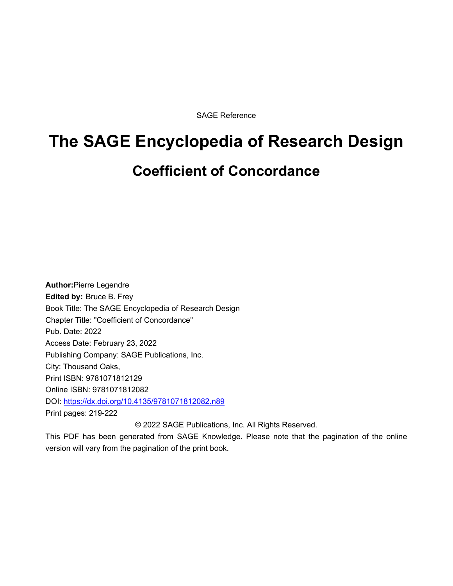SAGE Reference

# **The SAGE Encyclopedia of Research Design**

## **Coefficient of Concordance**

**Author:**Pierre Legendre **Edited by:** [Bruce B. Frey](javascript:void(0);) Book Title: The SAGE Encyclopedia of Research Design Chapter Title: "Coefficient of Concordance" Pub. Date: 2022 Access Date: February 23, 2022 Publishing Company: SAGE Publications, Inc. City: Thousand Oaks, Print ISBN: 9781071812129 Online ISBN: 9781071812082 DOI: [https://dx.doi.org/10.4135/9781071812082.n89](https://dx.<wbr>doi.<wbr>org/10.4135/9781071812082.n89)  Print pages: 219-222

© 2022 SAGE Publications, Inc. All Rights Reserved.

This PDF has been generated from SAGE Knowledge. Please note that the pagination of the online version will vary from the pagination of the print book.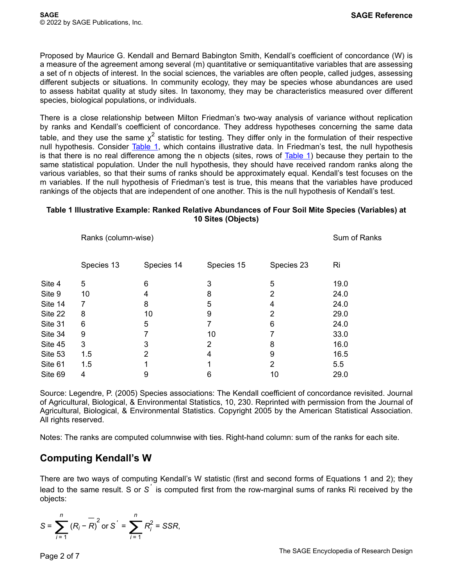Proposed by Maurice G. Kendall and Bernard Babington Smith, Kendall's coefficient of concordance (W) is a measure of the agreement among several (m) quantitative or semiquantitative variables that are assessing a set of n objects of interest. In the social sciences, the variables are often people, called judges, assessing different subjects or situations. In community ecology, they may be species whose abundances are used to assess habitat quality at study sites. In taxonomy, they may be characteristics measured over different species, biological populations, or individuals.

There is a close relationship between Milton Friedman's two-way analysis of variance without replication by ranks and Kendall's coefficient of concordance. They address hypotheses concerning the same data table, and they use the same  $\chi^2$  statistic for testing. They differ only in the formulation of their respective null hypothesis. Consider [Table 1,](https://sk.sagepub.com/reference/the-sage-encyclopedia-of-research-design-2e/i1739.xml#i1755) which contains illustrative data. In Friedman's test, the null hypothesis is that there is no real difference among the n objects (sites, rows of [Table 1\)](https://sk.sagepub.com/reference/the-sage-encyclopedia-of-research-design-2e/i1739.xml#i1755) because they pertain to the same statistical population. Under the null hypothesis, they should have received random ranks along the various variables, so that their sums of ranks should be approximately equal. Kendall's test focuses on the m variables. If the null hypothesis of Friedman's test is true, this means that the variables have produced rankings of the objects that are independent of one another. This is the null hypothesis of Kendall's test.

#### **Table 1 Illustrative Example: Ranked Relative Abundances of Four Soil Mite Species (Variables) at 10 Sites (Objects)**

|         | Ranks (column-wise) | Sum of Ranks |            |            |      |
|---------|---------------------|--------------|------------|------------|------|
|         | Species 13          | Species 14   | Species 15 | Species 23 | Ri   |
| Site 4  | 5                   | 6            | 3          | 5          | 19.0 |
| Site 9  | 10                  | 4            | 8          | 2          | 24.0 |
| Site 14 | 7                   | 8            | 5          | 4          | 24.0 |
| Site 22 | 8                   | 10           | 9          | 2          | 29.0 |
| Site 31 | 6                   | 5            | 7          | 6          | 24.0 |
| Site 34 | 9                   |              | 10         |            | 33.0 |
| Site 45 | 3                   | 3            | 2          | 8          | 16.0 |
| Site 53 | 1.5                 | 2            | 4          | 9          | 16.5 |
| Site 61 | 1.5                 |              |            | 2          | 5.5  |
| Site 69 | 4                   | 9            | 6          | 10         | 29.0 |

Source: Legendre, P. (2005) Species associations: The Kendall coefficient of concordance revisited. Journal of Agricultural, Biological, & Environmental Statistics, 10, 230. Reprinted with permission from the Journal of Agricultural, Biological, & Environmental Statistics. Copyright 2005 by the American Statistical Association. All rights reserved.

Notes: The ranks are computed columnwise with ties. Right-hand column: sum of the ranks for each site.

### **Computing Kendall's W**

There are two ways of computing Kendall's W statistic (first and second forms of Equations 1 and 2); they lead to the same result. S or S is computed first from the row-marginal sums of ranks Ri received by the ′ objects:

<span id="page-1-0"></span>
$$
S = \sum_{i=1}^{n} (R_i - \overline{R})^2 \text{ or } S^{'} = \sum_{i=1}^{n} R_i^2 = SSR,
$$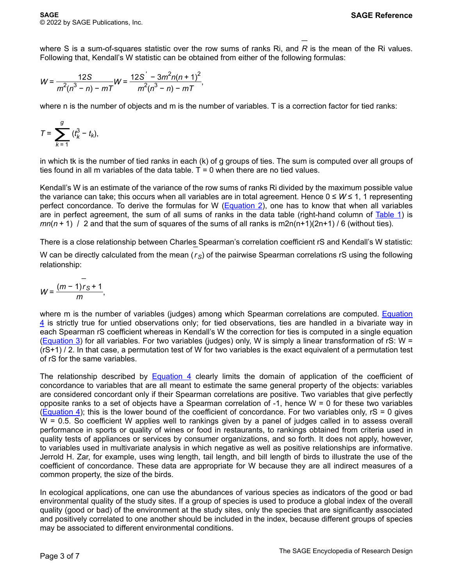where S is a sum-of-squares statistic over the row sums of ranks Ri, and R is the mean of the Ri values. Following that, Kendall's W statistic can be obtained from either of the following formulas:

<span id="page-2-0"></span>
$$
W = \frac{12S}{m^2(n^3 - n) - mT}W = \frac{12S^{7} - 3m^2n(n + 1)^2}{m^2(n^3 - n) - mT},
$$

where n is the number of objects and m is the number of variables. T is a correction factor for tied ranks:

<span id="page-2-2"></span>
$$
\mathcal{T} = \sum_{k=1}^g (t_k^3 - t_k),
$$

in which tk is the number of tied ranks in each (k) of g groups of ties. The sum is computed over all groups of ties found in all m variables of the data table.  $T = 0$  when there are no tied values.

Kendall's W is an estimate of the variance of the row sums of ranks Ri divided by the maximum possible value the variance can take; this occurs when all variables are in total agreement. Hence 0 ≤ *W* ≤ 1, 1 representing perfect concordance. To derive the formulas for W [\(Equation 2\)](#page-2-0), one has to know that when all variables are in perfect agreement, the sum of all sums of ranks in the data table (right-hand column of [Table 1\)](https://sk.sagepub.com/reference/the-sage-encyclopedia-of-research-design-2e/i1739.xml#i1755) is  $mn(n + 1)$  / 2 and that the sum of squares of the sums of all ranks is m2n(n+1)(2n+1) / 6 (without ties).

There is a close relationship between Charles Spearman's correlation coefficient rS and Kendall's W statistic: W can be directly calculated from the mean ( $r_S$ ) of the pairwise Spearman correlations rS using the following relationship:

<span id="page-2-1"></span>
$$
W=\frac{(m-1)r_S+1}{m},
$$

where m is the number of variables (judges) among which Spearman correlations are computed. Equation [4](#page-2-1) is strictly true for untied observations only; for tied observations, ties are handled in a bivariate way in each Spearman rS coefficient whereas in Kendall's W the correction for ties is computed in a single equation [\(Equation 3](#page-2-2)) for all variables. For two variables (judges) only, W is simply a linear transformation of rS: W = (rS+1) / 2. In that case, a permutation test of W for two variables is the exact equivalent of a permutation test of rS for the same variables.

The relationship described by [Equation 4](#page-2-1) clearly limits the domain of application of the coefficient of concordance to variables that are all meant to estimate the same general property of the objects: variables are considered concordant only if their Spearman correlations are positive. Two variables that give perfectly opposite ranks to a set of objects have a Spearman correlation of -1, hence W = 0 for these two variables [\(Equation 4](#page-2-1)); this is the lower bound of the coefficient of concordance. For two variables only, rS = 0 gives W = 0.5. So coefficient W applies well to rankings given by a panel of judges called in to assess overall performance in sports or quality of wines or food in restaurants, to rankings obtained from criteria used in quality tests of appliances or services by consumer organizations, and so forth. It does not apply, however, to variables used in multivariate analysis in which negative as well as positive relationships are informative. Jerrold H. Zar, for example, uses wing length, tail length, and bill length of birds to illustrate the use of the coefficient of concordance. These data are appropriate for W because they are all indirect measures of a common property, the size of the birds.

In ecological applications, one can use the abundances of various species as indicators of the good or bad environmental quality of the study sites. If a group of species is used to produce a global index of the overall quality (good or bad) of the environment at the study sites, only the species that are significantly associated and positively correlated to one another should be included in the index, because different groups of species may be associated to different environmental conditions.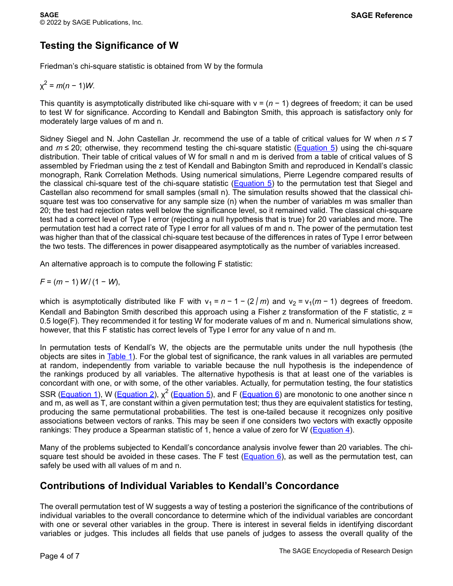## **Testing the Significance of W**

Friedman's chi-square statistic is obtained from W by the formula

<span id="page-3-0"></span>
$$
\chi^2 = m(n-1)W.
$$

This quantity is asymptotically distributed like chi-square with ν = (*n* − 1) degrees of freedom; it can be used to test W for significance. According to Kendall and Babington Smith, this approach is satisfactory only for moderately large values of m and n.

Sidney Siegel and N. John Castellan Jr. recommend the use of a table of critical values for W when *n* ≤ 7 and *m* ≤ 20; otherwise, they recommend testing the chi-square statistic [\(Equation 5\)](#page-3-0) using the chi-square distribution. Their table of critical values of W for small n and m is derived from a table of critical values of S assembled by Friedman using the z test of Kendall and Babington Smith and reproduced in Kendall's classic monograph, Rank Correlation Methods. Using numerical simulations, Pierre Legendre compared results of the classical chi-square test of the chi-square statistic [\(Equation 5](#page-3-0)) to the permutation test that Siegel and Castellan also recommend for small samples (small n). The simulation results showed that the classical chisquare test was too conservative for any sample size (n) when the number of variables m was smaller than 20; the test had rejection rates well below the significance level, so it remained valid. The classical chi-square test had a correct level of Type I error (rejecting a null hypothesis that is true) for 20 variables and more. The permutation test had a correct rate of Type I error for all values of m and n. The power of the permutation test was higher than that of the classical chi-square test because of the differences in rates of Type I error between the two tests. The differences in power disappeared asymptotically as the number of variables increased.

An alternative approach is to compute the following F statistic:

<span id="page-3-1"></span>
$$
F = (m - 1) W/(1 - W)
$$
,

which is asymptotically distributed like F with  $v_1 = n - 1 - (2/m)$  and  $v_2 = v_1(m - 1)$  degrees of freedom. Kendall and Babington Smith described this approach using a Fisher z transformation of the F statistic,  $z =$ 0.5 loge(F). They recommended it for testing W for moderate values of m and n. Numerical simulations show, however, that this F statistic has correct levels of Type I error for any value of n and m.

In permutation tests of Kendall's W, the objects are the permutable units under the null hypothesis (the objects are sites in [Table 1](https://sk.sagepub.com/reference/the-sage-encyclopedia-of-research-design-2e/i1739.xml#i1755)). For the global test of significance, the rank values in all variables are permuted at random, independently from variable to variable because the null hypothesis is the independence of the rankings produced by all variables. The alternative hypothesis is that at least one of the variables is concordant with one, or with some, of the other variables. Actually, for permutation testing, the four statistics SSR [\(Equation 1](#page-1-0)), W [\(Equation 2](#page-2-0)),  $\chi^2$  [\(Equation 5\)](#page-3-0), and F [\(Equation 6\)](#page-3-1) are monotonic to one another since n and m, as well as T, are constant within a given permutation test; thus they are equivalent statistics for testing, producing the same permutational probabilities. The test is one-tailed because it recognizes only positive associations between vectors of ranks. This may be seen if one considers two vectors with exactly opposite rankings: They produce a Spearman statistic of 1, hence a value of zero for W ( $\frac{Equation 4}{Equation 4}$  $\frac{Equation 4}{Equation 4}$  $\frac{Equation 4}{Equation 4}$ ).

Many of the problems subjected to Kendall's concordance analysis involve fewer than 20 variables. The chi-square test should be avoided in these cases. The F test ([Equation 6](#page-3-1)), as well as the permutation test, can safely be used with all values of m and n.

### **Contributions of Individual Variables to Kendall's Concordance**

The overall permutation test of W suggests a way of testing a posteriori the significance of the contributions of individual variables to the overall concordance to determine which of the individual variables are concordant with one or several other variables in the group. There is interest in several fields in identifying discordant variables or judges. This includes all fields that use panels of judges to assess the overall quality of the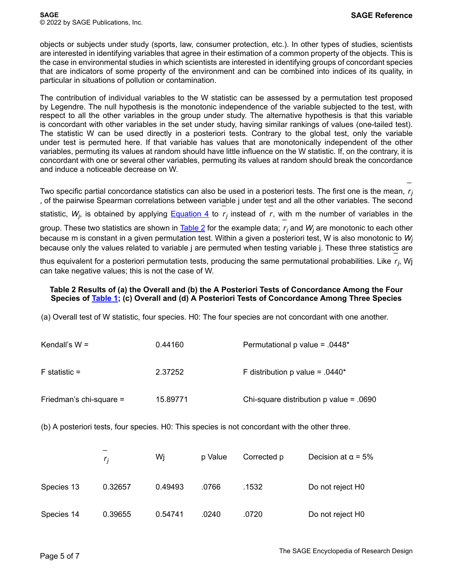objects or subjects under study (sports, law, consumer protection, etc.). In other types of studies, scientists are interested in identifying variables that agree in their estimation of a common property of the objects. This is the case in environmental studies in which scientists are interested in identifying groups of concordant species that are indicators of some property of the environment and can be combined into indices of its quality, in particular in situations of pollution or contamination.

The contribution of individual variables to the W statistic can be assessed by a permutation test proposed by Legendre. The null hypothesis is the monotonic independence of the variable subjected to the test, with respect to all the other variables in the group under study. The alternative hypothesis is that this variable is concordant with other variables in the set under study, having similar rankings of values (one-tailed test). The statistic W can be used directly in a posteriori tests. Contrary to the global test, only the variable under test is permuted here. If that variable has values that are monotonically independent of the other variables, permuting its values at random should have little influence on the W statistic. If, on the contrary, it is concordant with one or several other variables, permuting its values at random should break the concordance and induce a noticeable decrease on W.

Two specific partial concordance statistics can also be used in a posteriori tests. The first one is the mean,  $\vec{r}_j$ , of the pairwise Spearman correlations between variable j under test and all the other variables. The second statistic,  $W_j$ , is obtained by applying  $Equation 4 to  $T_j$  $Equation 4 to  $T_j$  $Equation 4 to  $T_j$  instead of r, with m the number of variables in the</u>$$$ 

group. These two statistics are shown in <u>[Table 2](https://sk.sagepub.com/reference/the-sage-encyclopedia-of-research-design-2e/i1739.xml#i1768)</u> for the example data;  $r_j$  and  $W_j$  are monotonic to each other because m is constant in a given permutation test. Within a given a posteriori test, W is also monotonic to *W<sup>j</sup>* because only the values related to variable j are permuted when testing variable j. These three statistics are

thus equivalent for a posteriori permutation tests, producing the same permutational probabilities. Like  $\vec{r}_j$ , Wj can take negative values; this is not the case of W.

#### <span id="page-4-0"></span>**Table 2 Results of (a) the Overall and (b) the A Posteriori Tests of Concordance Among the Four Species of [Table 1;](https://sk.sagepub.com/reference/the-sage-encyclopedia-of-research-design-2e/i1739.xml#i1755) (c) Overall and (d) A Posteriori Tests of Concordance Among Three Species**

(a) Overall test of W statistic, four species. H0: The four species are not concordant with one another.

| Kendall's $W =$         | 0.44160  | Permutational p value = $.0448*$          |
|-------------------------|----------|-------------------------------------------|
| $F$ statistic =         | 2.37252  | F distribution p value = $.0440*$         |
| Friedman's chi-square = | 15.89771 | Chi-square distribution $p$ value = .0690 |

(b) A posteriori tests, four species. H0: This species is not concordant with the other three.

|            | r,      | Wj      | p Value | Corrected p | Decision at $\alpha$ = 5%    |
|------------|---------|---------|---------|-------------|------------------------------|
| Species 13 | 0.32657 | 0.49493 | .0766   | .1532       | Do not reject H <sub>0</sub> |
| Species 14 | 0.39655 | 0.54741 | .0240   | .0720       | Do not reject H <sub>0</sub> |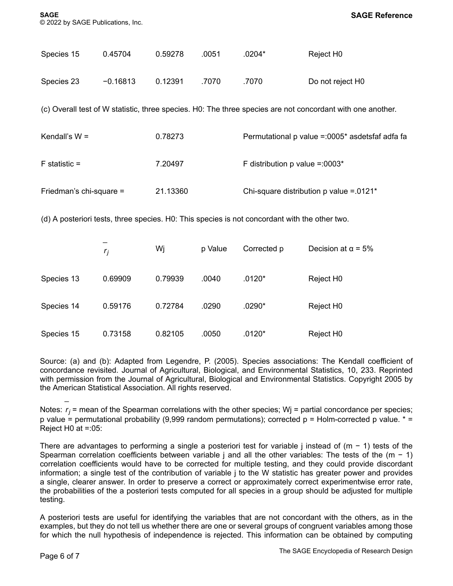| Species 15                                                                                                 | 0.45704    | 0.59278  | .0051 | $.0204*$                        | Reject H <sub>0</sub>                               |  |
|------------------------------------------------------------------------------------------------------------|------------|----------|-------|---------------------------------|-----------------------------------------------------|--|
| Species 23                                                                                                 | $-0.16813$ | 0.12391  | .7070 | .7070                           | Do not reject H0                                    |  |
| (c) Overall test of W statistic, three species. H0: The three species are not concordant with one another. |            |          |       |                                 |                                                     |  |
| Kendall's $W =$                                                                                            |            | 0.78273  |       |                                 | Permutational p value =: 0005* as dets fail adfa fa |  |
| $F$ statistic =                                                                                            |            | 7.20497  |       | F distribution p value =: 0003* |                                                     |  |
| Friedman's chi-square =                                                                                    |            | 21.13360 |       |                                 | Chi-square distribution p value = 0121*             |  |

(d) A posteriori tests, three species. H0: This species is not concordant with the other two.

|            | $r_i$   | Wj      | p Value | Corrected p | Decision at $\alpha$ = 5% |
|------------|---------|---------|---------|-------------|---------------------------|
| Species 13 | 0.69909 | 0.79939 | .0040   | $.0120*$    | Reject H <sub>0</sub>     |
| Species 14 | 0.59176 | 0.72784 | .0290   | .0290*      | Reject H <sub>0</sub>     |
| Species 15 | 0.73158 | 0.82105 | .0050   | $.0120*$    | Reject H <sub>0</sub>     |

Source: (a) and (b): Adapted from Legendre, P. (2005). Species associations: The Kendall coefficient of concordance revisited. Journal of Agricultural, Biological, and Environmental Statistics, 10, 233. Reprinted with permission from the Journal of Agricultural, Biological and Environmental Statistics. Copyright 2005 by the American Statistical Association. All rights reserved.

Notes:  $r_j$  = mean of the Spearman correlations with the other species; Wj = partial concordance per species; p value = permutational probability (9,999 random permutations); corrected  $p = Holm$ -corrected p value.  $* =$ Reject H0 at =:05:

There are advantages to performing a single a posteriori test for variable j instead of (m − 1) tests of the Spearman correlation coefficients between variable j and all the other variables: The tests of the (m − 1) correlation coefficients would have to be corrected for multiple testing, and they could provide discordant information; a single test of the contribution of variable j to the W statistic has greater power and provides a single, clearer answer. In order to preserve a correct or approximately correct experimentwise error rate, the probabilities of the a posteriori tests computed for all species in a group should be adjusted for multiple testing.

A posteriori tests are useful for identifying the variables that are not concordant with the others, as in the examples, but they do not tell us whether there are one or several groups of congruent variables among those for which the null hypothesis of independence is rejected. This information can be obtained by computing